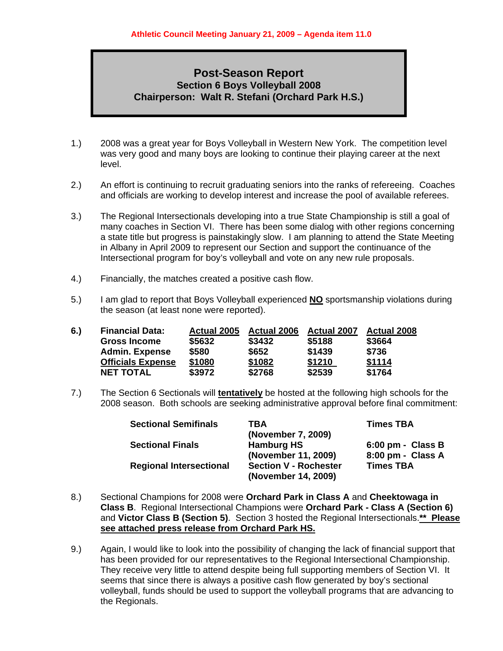**Athletic Council Meeting January 21, 2009 – Agenda item 11.0** 

## **Post-Season Report Section 6 Boys Volleyball 2008 Chairperson: Walt R. Stefani (Orchard Park H.S.)**

- 1.) 2008 was a great year for Boys Volleyball in Western New York. The competition level was very good and many boys are looking to continue their playing career at the next level.
- 2.) An effort is continuing to recruit graduating seniors into the ranks of refereeing. Coaches and officials are working to develop interest and increase the pool of available referees.
- 3.) The Regional Intersectionals developing into a true State Championship is still a goal of many coaches in Section VI. There has been some dialog with other regions concerning a state title but progress is painstakingly slow. I am planning to attend the State Meeting in Albany in April 2009 to represent our Section and support the continuance of the Intersectional program for boy's volleyball and vote on any new rule proposals.
- 4.) Financially, the matches created a positive cash flow.
- 5.) I am glad to report that Boys Volleyball experienced **NO** sportsmanship violations during the season (at least none were reported).

| 6.) | <b>Financial Data:</b>   | <b>Actual 2005</b> | <b>Actual 2006</b> | <b>Actual 2007</b> | Actual 2008 |
|-----|--------------------------|--------------------|--------------------|--------------------|-------------|
|     | <b>Gross Income</b>      | \$5632             | \$3432             | \$5188             | \$3664      |
|     | <b>Admin. Expense</b>    | \$580              | \$652              | \$1439             | \$736       |
|     | <b>Officials Expense</b> | \$1080             | \$1082             | \$1210             | \$1114      |
|     | <b>NET TOTAL</b>         | \$3972             | \$2768             | \$2539             | \$1764      |

7.) The Section 6 Sectionals will **tentatively** be hosted at the following high schools for the 2008 season. Both schools are seeking administrative approval before final commitment:

| <b>Sectional Semifinals</b>    | TBA                                                 | <b>Times TBA</b>  |  |
|--------------------------------|-----------------------------------------------------|-------------------|--|
|                                | (November 7, 2009)                                  |                   |  |
| <b>Sectional Finals</b>        | <b>Hamburg HS</b>                                   | 6:00 pm - Class B |  |
|                                | (November 11, 2009)                                 | 8:00 pm - Class A |  |
| <b>Regional Intersectional</b> | <b>Section V - Rochester</b><br>(November 14, 2009) | <b>Times TBA</b>  |  |

- 8.) Sectional Champions for 2008 were **Orchard Park in Class A** and **Cheektowaga in Class B**. Regional Intersectional Champions were **Orchard Park - Class A (Section 6)** and **Victor Class B (Section 5)**. Section 3 hosted the Regional Intersectionals.**\*\* Please see attached press release from Orchard Park HS.**
- 9.) Again, I would like to look into the possibility of changing the lack of financial support that has been provided for our representatives to the Regional Intersectional Championship. They receive very little to attend despite being full supporting members of Section VI. It seems that since there is always a positive cash flow generated by boy's sectional volleyball, funds should be used to support the volleyball programs that are advancing to the Regionals.